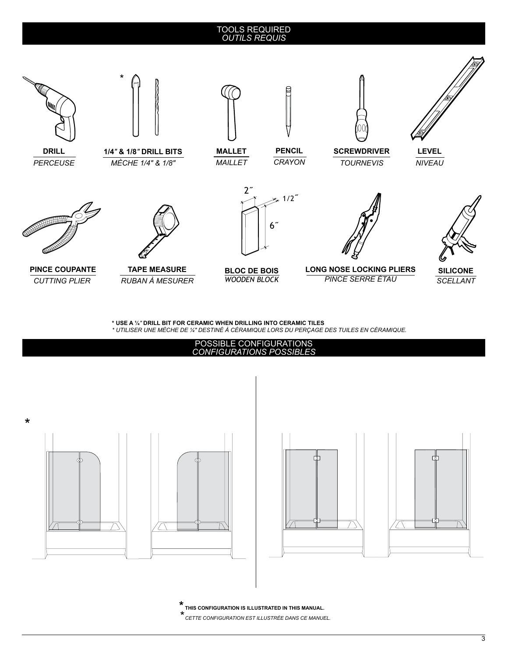## TOOLS REQUIRED *OUTILS REQUIS*



*CUTTING PLIER*

*RUBAN À MESURER*

*PINCE SERRE ÉTAU* 



**\* USE A ¼***"* **DRILL BIT FOR CERAMIC WHEN DRILLING INTO CERAMIC TILES**

*\* UTILISER UNE MÈCHE DE ¼" DESTINÉ À CÉRAMIQUE LORS DU PERÇAGE DES TUILES EN CÉRAMIQUE.*



**\* THIS CONFIGURATION IS ILLUSTRATED IN THIS MANUAL.** *\* CETTE CONFIGURATION EST ILLUSTRÉE DANS CE MANUEL.*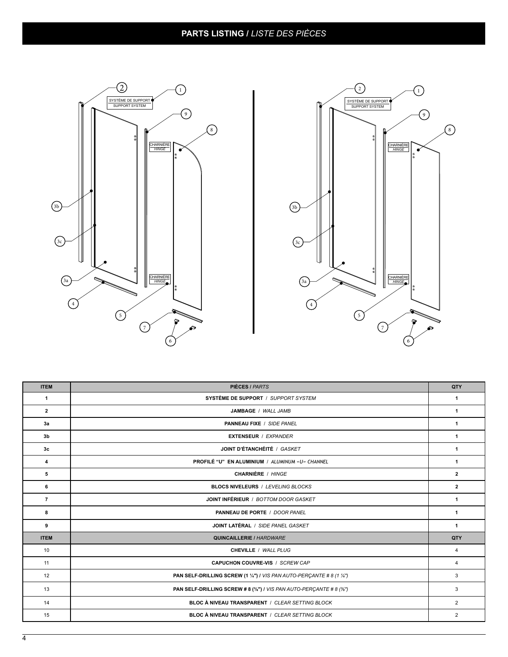## **PARTS LISTING /** *LISTE DES PIÈCES*





| <b>ITEM</b>    | <b>PIÈCES / PARTS</b>                                                 | QTY            |
|----------------|-----------------------------------------------------------------------|----------------|
| 1              | SYSTÈME DE SUPPORT / SUPPORT SYSTEM                                   | 1              |
| $\overline{2}$ | JAMBAGE / WALL JAMB                                                   | 1              |
| 3a             | <b>PANNEAU FIXE / SIDE PANEL</b>                                      | $\mathbf{1}$   |
| 3 <sub>b</sub> | <b>EXTENSEUR / EXPANDER</b>                                           | $\mathbf{1}$   |
| 3 <sub>c</sub> | JOINT D'ÉTANCHÉITÉ / GASKET                                           | $\mathbf{1}$   |
| 4              | PROFILÉ "U" EN ALUMINIUM / ALUMINUM «U» CHANNEL                       | 1              |
| 5              | CHARNIÈRE / HINGE                                                     | $\mathbf{2}$   |
| 6              | <b>BLOCS NIVELEURS / LEVELING BLOCKS</b>                              | $\overline{2}$ |
| $\overline{7}$ | JOINT INFÉRIEUR / BOTTOM DOOR GASKET                                  | $\mathbf{1}$   |
| 8              | PANNEAU DE PORTE / DOOR PANEL                                         | $\mathbf{1}$   |
| 9              | JOINT LATÉRAL / SIDE PANEL GASKET                                     | $\mathbf{1}$   |
| <b>ITEM</b>    | <b>QUINCAILLERIE / HARDWARE</b>                                       | QTY            |
| 10             | CHEVILLE / WALL PLUG                                                  | 4              |
| 11             | <b>CAPUCHON COUVRE-VIS / SCREW CAP</b>                                | 4              |
| 12             | PAN SELF-DRILLING SCREW (1 1/4") / VIS PAN AUTO-PERÇANTE # 8 (1 1/4") | 3              |
| 13             | PAN SELF-DRILLING SCREW # 8 (3/8") / VIS PAN AUTO-PERCANTE # 8 (3/8") | 3              |
| 14             | BLOC À NIVEAU TRANSPARENT / CLEAR SETTING BLOCK                       | $\overline{2}$ |
| 15             | BLOC À NIVEAU TRANSPARENT / CLEAR SETTING BLOCK                       | $\overline{2}$ |